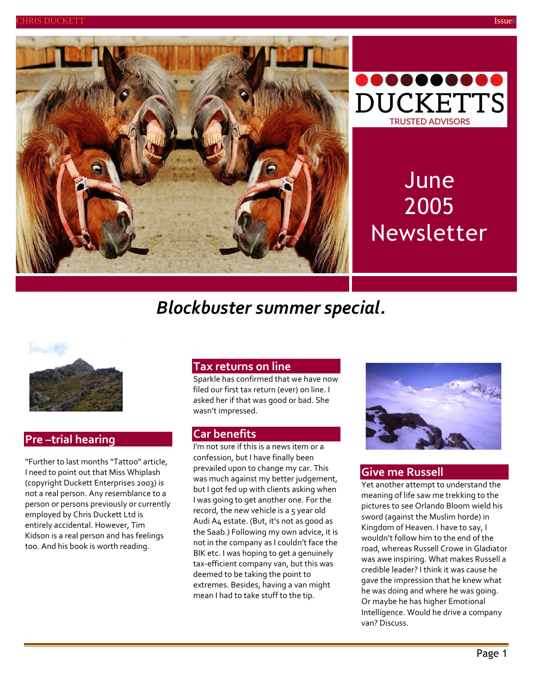



# June 2005 Newsletter

## *Blockbuster summer special.*



### **Pre –trial hearing**

"Further to last months "Tattoo" article, I need to point out that Miss Whiplash (copyright Duckett Enterprises 2003) is not a real person. Any resemblance to a person or persons previously or currently employed by Chris Duckett Ltd is entirely accidental. However, Tim Kidson is a real person and has feelings too. And his book is worth reading.

### **Tax returns on line**

Sparkle has confirmed that we have now filed our first tax return (ever) on line. I asked her if that was good or bad. She wasn't impressed.

#### **Car benefits**

I'm not sure if this is a news item or a confession, but I have finally been prevailed upon to change my car. This was much against my better judgement, but I got fed up with clients asking when I was going to get another one. For the record, the new vehicle is a 5 year old Audi A4 estate. (But, it's not as good as the Saab.) Following my own advice, it is not in the company as I couldn't face the BIK etc. I was hoping to get a genuinely tax-efficient company van, but this was deemed to be taking the point to extremes. Besides, having a van might mean I had to take stuff to the tip.



#### **Give me Russell**

Yet another attempt to understand the meaning of life saw me trekking to the pictures to see Orlando Bloom wield his sword (against the Muslim horde) in Kingdom of Heaven. I have to say, I wouldn't follow him to the end of the road, whereas Russell Crowe in Gladiator was awe inspiring. What makes Russell a credible leader? I think it was cause he gave the impression that he knew what he was doing and where he was going. Or maybe he has higher Emotional Intelligence. Would he drive a company van? Discuss.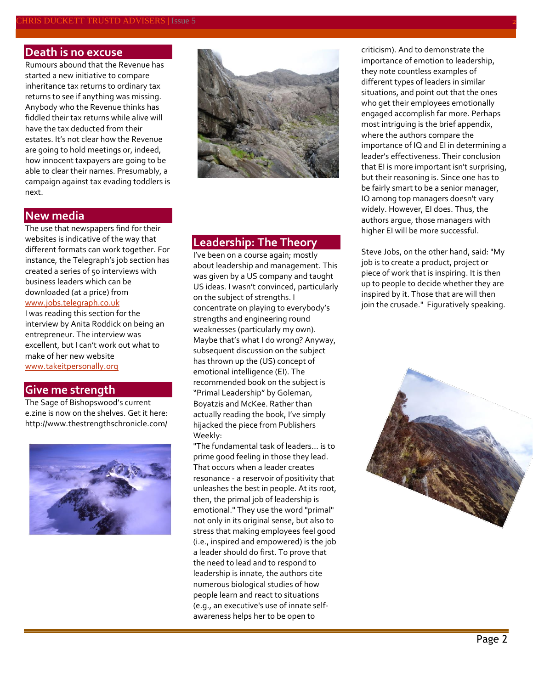## **Death is no excuse**

Rumours abound that the Revenue has started a new initiative to compare inheritance tax returns to ordinary tax returns to see if anything was missing. Anybody who the Revenue thinks has fiddled their tax returns while alive will have the tax deducted from their estates. It's not clear how the Revenue are going to hold meetings or, indeed, how innocent taxpayers are going to be able to clear their names. Presumably, a campaign against tax evading toddlers is next.



#### **New media**

The use that newspapers find for their websites is indicative of the way that different formats can work together. For instance, the Telegraph's job section has created a series of 50 interviews with business leaders which can be downloaded (at a price) from [www.jobs.telegraph.co.uk](http://www.jobs.telegraph.co.uk/)

I was reading this section for the interview by Anita Roddick on being an entrepreneur. The interview was excellent, but I can't work out what to make of her new website [www.takeitpersonally.org](http://www.takeitpersonally.org/)

#### **Give me strength**

The Sage of Bishopswood's current e.zine is now on the shelves. Get it here: <http://www.thestrengthschronicle.com/>



#### **Leadership: The Theory**

I've been on a course again; mostly about leadership and management. This was given by a US company and taught US ideas. I wasn't convinced, particularly on the subject of strengths. I concentrate on playing to everybody's strengths and engineering round weaknesses (particularly my own). Maybe that's what I do wrong? Anyway, subsequent discussion on the subject has thrown up the (US) concept of emotional intelligence (EI). The recommended book on the subject is "Primal Leadership" by Goleman, Boyatzis and McKee. Rather than actually reading the book, I've simply hijacked the piece from Publishers Weekly:

"The fundamental task of leaders... is to prime good feeling in those they lead. That occurs when a leader creates resonance - a reservoir of positivity that unleashes the best in people. At its root, then, the primal job of leadership is emotional." They use the word "primal" not only in its original sense, but also to stress that making employees feel good (i.e., inspired and empowered) is the job a leader should do first. To prove that the need to lead and to respond to leadership is innate, the authors cite numerous biological studies of how people learn and react to situations (e.g., an executive's use of innate selfawareness helps her to be open to

criticism). And to demonstrate the importance of emotion to leadership, they note countless examples of different types of leaders in similar situations, and point out that the ones who get their employees emotionally engaged accomplish far more. Perhaps most intriguing is the brief appendix, where the authors compare the importance of IQ and EI in determining a leader's effectiveness. Their conclusion that EI is more important isn't surprising, but their reasoning is. Since one has to be fairly smart to be a senior manager, IQ among top managers doesn't vary widely. However, EI does. Thus, the authors argue, those managers with higher EI will be more successful.

Steve Jobs, on the other hand, said: "My job is to create a product, project or piece of work that is inspiring. It is then up to people to decide whether they are inspired by it. Those that are will then join the crusade." Figuratively speaking.

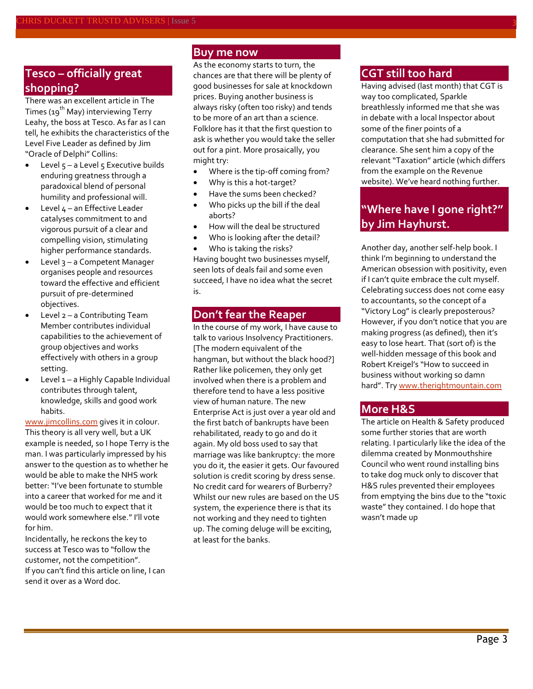## **Tesco – officially great shopping?**

There was an excellent article in The Times (19<sup>th</sup> May) interviewing Terry Leahy, the boss at Tesco. As far as I can tell, he exhibits the characteristics of the Level Five Leader as defined by Jim "Oracle of Delphi" Collins:

- $\bullet$  Level  $5 a$  Level 5 Executive builds enduring greatness through a paradoxical blend of personal humility and professional will.
- Level 4 an Effective Leader catalyses commitment to and vigorous pursuit of a clear and compelling vision, stimulating higher performance standards.
- Level 3 a Competent Manager organises people and resources toward the effective and efficient pursuit of pre-determined objectives.
- Level 2 a Contributing Team Member contributes individual capabilities to the achievement of group objectives and works effectively with others in a group setting.
- Level 1 a Highly Capable Individual contributes through talent, knowledge, skills and good work habits.

[www.jimcollins.com](http://www.jimcollins.com/) gives it in colour. This theory is all very well, but a UK example is needed, so I hope Terry is the man. I was particularly impressed by his answer to the question as to whether he would be able to make the NHS work better: "I've been fortunate to stumble into a career that worked for me and it would be too much to expect that it would work somewhere else." I'll vote for him.

Incidentally, he reckons the key to success at Tesco was to "follow the customer, not the competition". If you can't find this article on line, I can send it over as a Word doc.

#### **Buy me now**

As the economy starts to turn, the chances are that there will be plenty of good businesses for sale at knockdown prices. Buying another business is always risky (often too risky) and tends to be more of an art than a science. Folklore has it that the first question to ask is whether you would take the seller out for a pint. More prosaically, you might try:

- Where is the tip-off coming from?
- Why is this a hot-target?
- Have the sums been checked?
- Who picks up the bill if the deal aborts?
- How will the deal be structured
- Who is looking after the detail?
- Who is taking the risks?

Having bought two businesses myself, seen lots of deals fail and some even succeed, I have no idea what the secret is.

#### **Don't fear the Reaper**

In the course of my work, I have cause to talk to various Insolvency Practitioners. [The modern equivalent of the hangman, but without the black hood?] Rather like policemen, they only get involved when there is a problem and therefore tend to have a less positive view of human nature. The new Enterprise Act is just over a year old and the first batch of bankrupts have been rehabilitated, ready to go and do it again. My old boss used to say that marriage was like bankruptcy: the more you do it, the easier it gets. Our favoured solution is credit scoring by dress sense. No credit card for wearers of Burberry? Whilst our new rules are based on the US system, the experience there is that its not working and they need to tighten up. The coming deluge will be exciting, at least for the banks.

#### **CGT still too hard**

Having advised (last month) that CGT is way too complicated, Sparkle breathlessly informed me that she was in debate with a local Inspector about some of the finer points of a computation that she had submitted for clearance. She sent him a copy of the relevant "Taxation" article (which differs from the example on the Revenue website). We've heard nothing further.

## **"Where have I gone right?" by Jim Hayhurst.**

Another day, another self-help book. I think I'm beginning to understand the American obsession with positivity, even if I can't quite embrace the cult myself. Celebrating success does not come easy to accountants, so the concept of a "Victory Log" is clearly preposterous? However, if you don't notice that you are making progress (as defined), then it's easy to lose heart. That (sort of) is the well-hidden message of this book and Robert Kreigel's "How to succeed in business without working so damn hard". Try [www.therightmountain.com](http://www.therightmountain.com/)

## **More H&S**

The article on Health & Safety produced some further stories that are worth relating. I particularly like the idea of the dilemma created by Monmouthshire Council who went round installing bins to take dog muck only to discover that H&S rules prevented their employees from emptying the bins due to the "toxic waste" they contained. I do hope that wasn't made up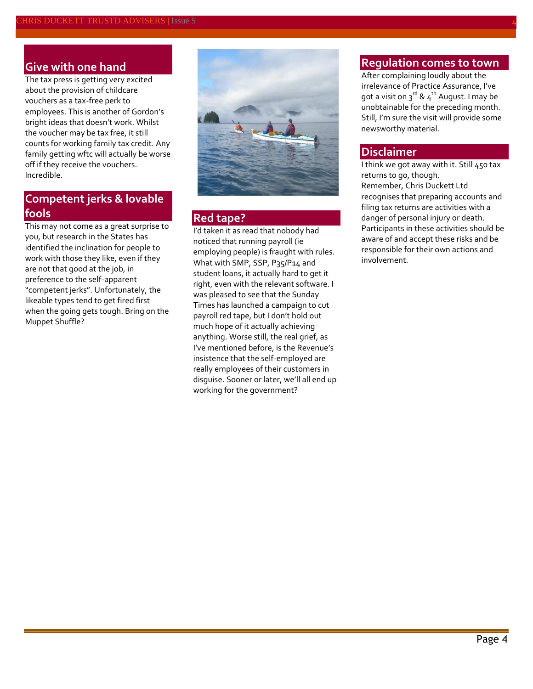#### **Give with one hand**

The tax press is getting very excited about the provision of childcare vouchers as a tax-free perk to employees. This is another of Gordon's bright ideas that doesn't work. Whilst the voucher may be tax free, it still counts for working family tax credit. Any family getting wftc will actually be worse off if they receive the vouchers. Incredible.

## **Competent jerks & lovable fools**

This may not come as a great surprise to you, but research in the States has identified the inclination for people to work with those they like, even if they are not that good at the job, in preference to the self-apparent "competent jerks". Unfortunately, the likeable types tend to get fired first when the going gets tough. Bring on the Muppet Shuffle?



#### **Red tape?**

I'd taken it as read that nobody had noticed that running payroll (ie employing people) is fraught with rules. What with SMP, SSP, P35/P14 and student loans, it actually hard to get it right, even with the relevant software. I was pleased to see that the Sunday Times has launched a campaign to cut payroll red tape, but I don't hold out much hope of it actually achieving anything. Worse still, the real grief, as I've mentioned before, is the Revenue's insistence that the self-employed are really employees of their customers in disguise. Sooner or later, we'll all end up working for the government?

#### **Regulation comes to town**

After complaining loudly about the irrelevance of Practice Assurance, I've got a visit on  $3^{rd}$  &  $4^{th}$  August. I may be unobtainable for the preceding month. Still, I'm sure the visit will provide some newsworthy material.

#### **Disclaimer**

I think we got away with it. Still 450 tax returns to go, though. Remember, Chris Duckett Ltd recognises that preparing accounts and filing tax returns are activities with a danger of personal injury or death. Participants in these activities should be aware of and accept these risks and be responsible for their own actions and involvement.